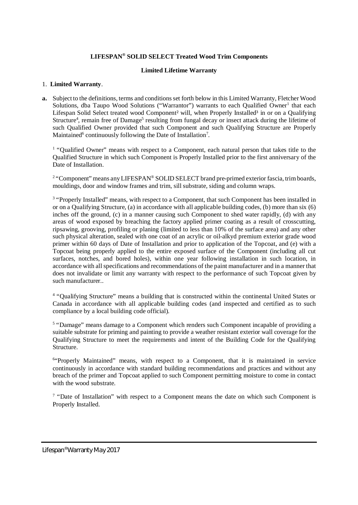# **LIFESPAN® SOLID SELECT Treated Wood Trim Components**

### **Limited Lifetime Warranty**

#### 1. **Limited Warranty**.

**a.** Subject to the definitions, terms and conditions set forth below in this Limited Warranty, Fletcher Wood Solutions, dba Taupo Wood Solutions ("Warrantor") warrants to each Qualified Owner<sup>1</sup> that each Lifespan Solid Select treated wood Component<sup>2</sup> will, when Properly Installed<sup>3</sup> in or on a Qualifying Structure<sup>4</sup>, remain free of Damage<sup>5</sup> resulting from fungal decay or insect attack during the lifetime of such Qualified Owner provided that such Component and such Qualifying Structure are Properly Maintained<sup>6</sup> continuously following the Date of Installation<sup>7</sup>.

<sup>1</sup> "Qualified Owner" means with respect to a Component, each natural person that takes title to the Qualified Structure in which such Component is Properly Installed prior to the first anniversary of the Date of Installation.

<sup>2</sup> "Component" means any LIFESPAN® SOLID SELECT brand pre-primed exterior fascia, trim boards, mouldings, door and window frames and trim, sill substrate, siding and column wraps.

<sup>3</sup> "Properly Installed" means, with respect to a Component, that such Component has been installed in or on a Qualifying Structure, (a) in accordance with all applicable building codes, (b) more than six (6) inches off the ground, (c) in a manner causing such Component to shed water rapidly, (d) with any areas of wood exposed by breaching the factory applied primer coating as a result of crosscutting, ripsawing, grooving, profiling or planing (limited to less than 10% of the surface area) and any other such physical alteration, sealed with one coat of an acrylic or oil-alkyd premium exterior grade wood primer within 60 days of Date of Installation and prior to application of the Topcoat, and (e) with a Topcoat being properly applied to the entire exposed surface of the Component (including all cut surfaces, notches, and bored holes), within one year following installation in such location, in accordance with all specifications and recommendations of the paint manufacturer and in a manner that does not invalidate or limit any warranty with respect to the performance of such Topcoat given by such manufacturer..

<sup>4</sup> "Qualifying Structure" means a building that is constructed within the continental United States or Canada in accordance with all applicable building codes (and inspected and certified as to such compliance by a local building code official).

<sup>5</sup> "Damage" means damage to a Component which renders such Component incapable of providing a suitable substrate for priming and painting to provide a weather resistant exterior wall coverage for the Qualifying Structure to meet the requirements and intent of the Building Code for the Qualifying Structure.

<sup>6</sup>"Properly Maintained" means, with respect to a Component, that it is maintained in service continuously in accordance with standard building recommendations and practices and without any breach of the primer and Topcoat applied to such Component permitting moisture to come in contact with the wood substrate.

<sup>7</sup> "Date of Installation" with respect to a Component means the date on which such Component is Properly Installed.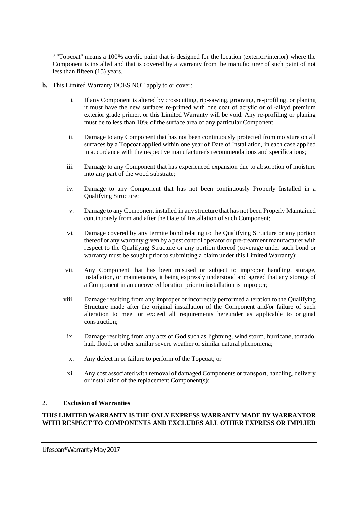<sup>8</sup> "Topcoat" means a 100% acrylic paint that is designed for the location (exterior/interior) where the Component is installed and that is covered by a warranty from the manufacturer of such paint of not less than fifteen (15) years.

- **b.** This Limited Warranty DOES NOT apply to or cover:
	- i. If any Component is altered by crosscutting, rip-sawing, grooving, re-profiling, or planing it must have the new surfaces re-primed with one coat of acrylic or oil-alkyd premium exterior grade primer, or this Limited Warranty will be void. Any re-profiling or planing must be to less than 10% of the surface area of any particular Component.
	- ii. Damage to any Component that has not been continuously protected from moisture on all surfaces by a Topcoat applied within one year of Date of Installation, in each case applied in accordance with the respective manufacturer's recommendations and specifications;
	- iii. Damage to any Component that has experienced expansion due to absorption of moisture into any part of the wood substrate;
	- iv. Damage to any Component that has not been continuously Properly Installed in a Qualifying Structure;
	- v. Damage to any Component installed in any structure that has not been Properly Maintained continuously from and after the Date of Installation of such Component;
	- vi. Damage covered by any termite bond relating to the Qualifying Structure or any portion thereof or any warranty given by a pest control operator or pre-treatment manufacturer with respect to the Qualifying Structure or any portion thereof (coverage under such bond or warranty must be sought prior to submitting a claim under this Limited Warranty):
	- vii. Any Component that has been misused or subject to improper handling, storage, installation, or maintenance, it being expressly understood and agreed that any storage of a Component in an uncovered location prior to installation is improper;
	- viii. Damage resulting from any improper or incorrectly performed alteration to the Qualifying Structure made after the original installation of the Component and/or failure of such alteration to meet or exceed all requirements hereunder as applicable to original construction;
	- ix. Damage resulting from any acts of God such as lightning, wind storm, hurricane, tornado, hail, flood, or other similar severe weather or similar natural phenomena;
	- x. Any defect in or failure to perform of the Topcoat; or
	- xi. Any cost associated with removal of damaged Components or transport, handling, delivery or installation of the replacement Component(s);

### 2. **Exclusion of Warranties**

## **THIS LIMITED WARRANTY IS THE ONLY EXPRESS WARRANTY MADE BY WARRANTOR WITH RESPECT TO COMPONENTS AND EXCLUDES ALL OTHER EXPRESS OR IMPLIED**